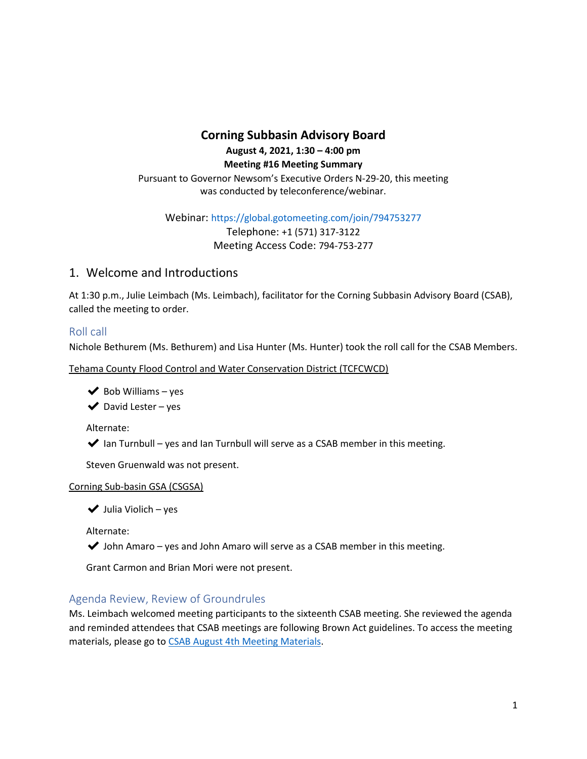# **Corning Subbasin Advisory Board August 4, 2021, 1:30 – 4:00 pm**

**Meeting #16 Meeting Summary**

Pursuant to Governor Newsom's Executive Orders N-29-20, this meeting was conducted by teleconference/webinar.

Webinar: https://global.gotomeeting.com/join/794753277

Telephone: +1 (571) 317-3122 Meeting Access Code: 794-753-277

## 1. Welcome and Introductions

At 1:30 p.m., Julie Leimbach (Ms. Leimbach), facilitator for the Corning Subbasin Advisory Board (CSAB), called the meeting to order.

## Roll call

Nichole Bethurem (Ms. Bethurem) and Lisa Hunter (Ms. Hunter) took the roll call for the CSAB Members.

Tehama County Flood Control and Water Conservation District (TCFCWCD)

 $\blacktriangleright$  Bob Williams – yes

 $\blacktriangleright$  David Lester – yes

Alternate:

 $\blacktriangleright$  Ian Turnbull – yes and Ian Turnbull will serve as a CSAB member in this meeting.

Steven Gruenwald was not present.

## Corning Sub-basin GSA (CSGSA)

 $\blacktriangleright$  Julia Violich – yes

Alternate:

 $\blacktriangleright$  John Amaro – yes and John Amaro will serve as a CSAB member in this meeting.

Grant Carmon and Brian Mori were not present.

## Agenda Review, Review of Groundrules

Ms. Leimbach welcomed meeting participants to the sixteenth CSAB meeting. She reviewed the agenda and reminded attendees that CSAB meetings are following Brown Act guidelines. To access the meeting materials, please go t[o CSAB August 4th Meeting Materials.](https://a8b4cae8-bac7-40f8-8c05-cf1a163cd3ad.filesusr.com/ugd/c88b6b_c5b966007a3242bdac75e68329829c66.pdf)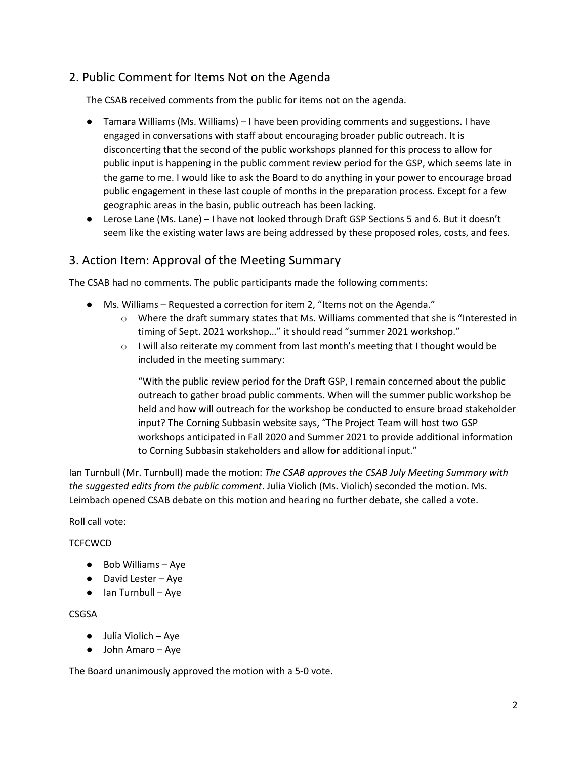# 2. Public Comment for Items Not on the Agenda

The CSAB received comments from the public for items not on the agenda.

- Tamara Williams (Ms. Williams) I have been providing comments and suggestions. I have engaged in conversations with staff about encouraging broader public outreach. It is disconcerting that the second of the public workshops planned for this process to allow for public input is happening in the public comment review period for the GSP, which seems late in the game to me. I would like to ask the Board to do anything in your power to encourage broad public engagement in these last couple of months in the preparation process. Except for a few geographic areas in the basin, public outreach has been lacking.
- Lerose Lane (Ms. Lane) I have not looked through Draft GSP Sections 5 and 6. But it doesn't seem like the existing water laws are being addressed by these proposed roles, costs, and fees.

# 3. Action Item: Approval of the Meeting Summary

The CSAB had no comments. The public participants made the following comments:

- Ms. Williams Requested a correction for item 2, "Items not on the Agenda."
	- o Where the draft summary states that Ms. Williams commented that she is "Interested in timing of Sept. 2021 workshop…" it should read "summer 2021 workshop."
	- $\circ$  I will also reiterate my comment from last month's meeting that I thought would be included in the meeting summary:

"With the public review period for the Draft GSP, I remain concerned about the public outreach to gather broad public comments. When will the summer public workshop be held and how will outreach for the workshop be conducted to ensure broad stakeholder input? The Corning Subbasin website says, "The Project Team will host two GSP workshops anticipated in Fall 2020 and Summer 2021 to provide additional information to Corning Subbasin stakeholders and allow for additional input."

Ian Turnbull (Mr. Turnbull) made the motion: *The CSAB approves the CSAB July Meeting Summary with the suggested edits from the public comment*. Julia Violich (Ms. Violich) seconded the motion. Ms. Leimbach opened CSAB debate on this motion and hearing no further debate, she called a vote.

Roll call vote:

## **TCFCWCD**

- Bob Williams Aye
- David Lester Aye
- Ian Turnbull Aye

#### CSGSA

- Julia Violich Aye
- John Amaro Aye

The Board unanimously approved the motion with a 5-0 vote.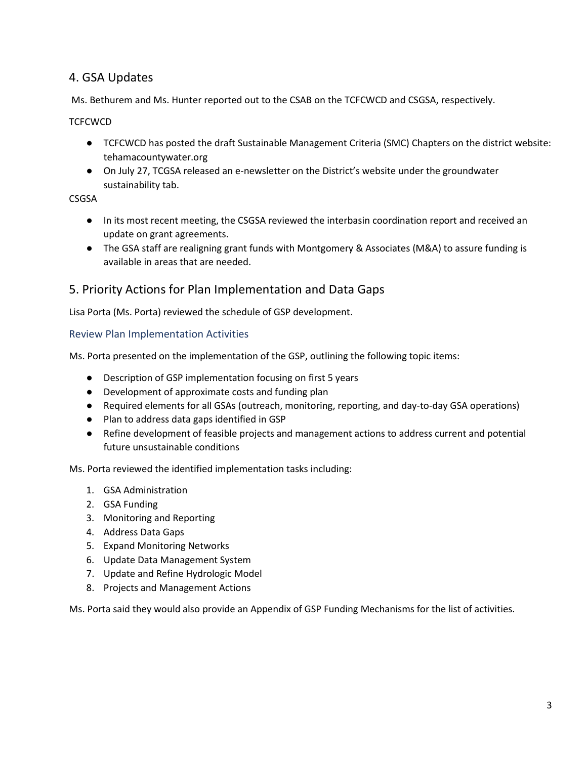# 4. GSA Updates

Ms. Bethurem and Ms. Hunter reported out to the CSAB on the TCFCWCD and CSGSA, respectively.

**TCFCWCD** 

- TCFCWCD has posted the draft Sustainable Management Criteria (SMC) Chapters on the district website: tehamacountywater.org
- On July 27, TCGSA released an e-newsletter on the District's website under the groundwater sustainability tab.

CSGSA

- In its most recent meeting, the CSGSA reviewed the interbasin coordination report and received an update on grant agreements.
- The GSA staff are realigning grant funds with Montgomery & Associates (M&A) to assure funding is available in areas that are needed.

# 5. Priority Actions for Plan Implementation and Data Gaps

Lisa Porta (Ms. Porta) reviewed the schedule of GSP development.

Review Plan Implementation Activities

Ms. Porta presented on the implementation of the GSP, outlining the following topic items:

- Description of GSP implementation focusing on first 5 years
- Development of approximate costs and funding plan
- Required elements for all GSAs (outreach, monitoring, reporting, and day-to-day GSA operations)
- Plan to address data gaps identified in GSP
- Refine development of feasible projects and management actions to address current and potential future unsustainable conditions

Ms. Porta reviewed the identified implementation tasks including:

- 1. GSA Administration
- 2. GSA Funding
- 3. Monitoring and Reporting
- 4. Address Data Gaps
- 5. Expand Monitoring Networks
- 6. Update Data Management System
- 7. Update and Refine Hydrologic Model
- 8. Projects and Management Actions

Ms. Porta said they would also provide an Appendix of GSP Funding Mechanisms for the list of activities.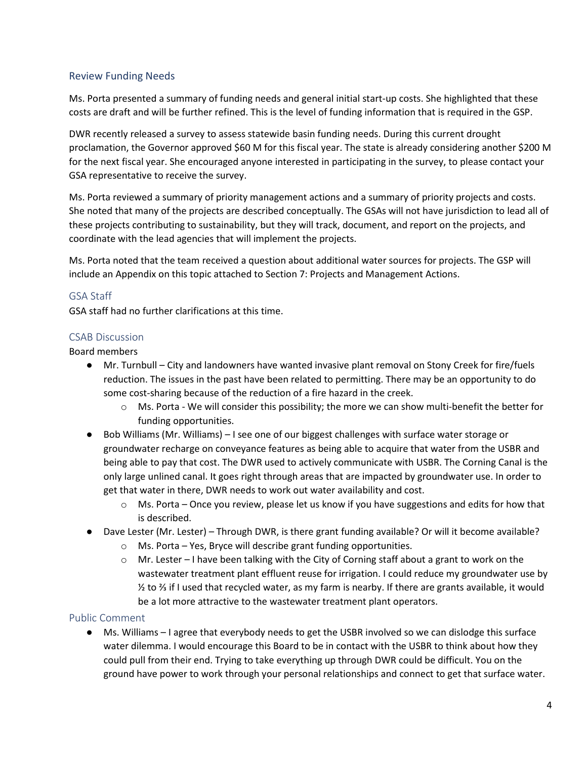## Review Funding Needs

Ms. Porta presented a summary of funding needs and general initial start-up costs. She highlighted that these costs are draft and will be further refined. This is the level of funding information that is required in the GSP.

DWR recently released a survey to assess statewide basin funding needs. During this current drought proclamation, the Governor approved \$60 M for this fiscal year. The state is already considering another \$200 M for the next fiscal year. She encouraged anyone interested in participating in the survey, to please contact your GSA representative to receive the survey.

Ms. Porta reviewed a summary of priority management actions and a summary of priority projects and costs. She noted that many of the projects are described conceptually. The GSAs will not have jurisdiction to lead all of these projects contributing to sustainability, but they will track, document, and report on the projects, and coordinate with the lead agencies that will implement the projects.

Ms. Porta noted that the team received a question about additional water sources for projects. The GSP will include an Appendix on this topic attached to Section 7: Projects and Management Actions.

## GSA Staff

GSA staff had no further clarifications at this time.

## CSAB Discussion

Board members

- Mr. Turnbull City and landowners have wanted invasive plant removal on Stony Creek for fire/fuels reduction. The issues in the past have been related to permitting. There may be an opportunity to do some cost-sharing because of the reduction of a fire hazard in the creek.
	- o Ms. Porta We will consider this possibility; the more we can show multi-benefit the better for funding opportunities.
- Bob Williams (Mr. Williams) I see one of our biggest challenges with surface water storage or groundwater recharge on conveyance features as being able to acquire that water from the USBR and being able to pay that cost. The DWR used to actively communicate with USBR. The Corning Canal is the only large unlined canal. It goes right through areas that are impacted by groundwater use. In order to get that water in there, DWR needs to work out water availability and cost.
	- $\circ$  Ms. Porta Once you review, please let us know if you have suggestions and edits for how that is described.
- Dave Lester (Mr. Lester) Through DWR, is there grant funding available? Or will it become available?
	- o Ms. Porta Yes, Bryce will describe grant funding opportunities.
	- $\circ$  Mr. Lester I have been talking with the City of Corning staff about a grant to work on the wastewater treatment plant effluent reuse for irrigation. I could reduce my groundwater use by ½ to ⅔ if I used that recycled water, as my farm is nearby. If there are grants available, it would be a lot more attractive to the wastewater treatment plant operators.

#### Public Comment

● Ms. Williams – I agree that everybody needs to get the USBR involved so we can dislodge this surface water dilemma. I would encourage this Board to be in contact with the USBR to think about how they could pull from their end. Trying to take everything up through DWR could be difficult. You on the ground have power to work through your personal relationships and connect to get that surface water.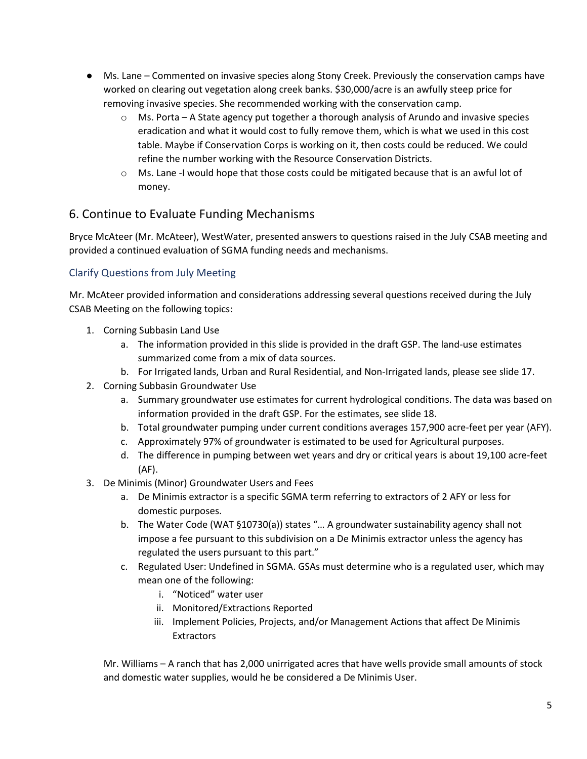- Ms. Lane Commented on invasive species along Stony Creek. Previously the conservation camps have worked on clearing out vegetation along creek banks. \$30,000/acre is an awfully steep price for removing invasive species. She recommended working with the conservation camp.
	- $\circ$  Ms. Porta A State agency put together a thorough analysis of Arundo and invasive species eradication and what it would cost to fully remove them, which is what we used in this cost table. Maybe if Conservation Corps is working on it, then costs could be reduced. We could refine the number working with the Resource Conservation Districts.
	- o Ms. Lane -I would hope that those costs could be mitigated because that is an awful lot of money.

# 6. Continue to Evaluate Funding Mechanisms

Bryce McAteer (Mr. McAteer), WestWater, presented answers to questions raised in the July CSAB meeting and provided a continued evaluation of SGMA funding needs and mechanisms.

## Clarify Questions from July Meeting

Mr. McAteer provided information and considerations addressing several questions received during the July CSAB Meeting on the following topics:

- 1. Corning Subbasin Land Use
	- a. The information provided in this slide is provided in the draft GSP. The land-use estimates summarized come from a mix of data sources.
	- b. For Irrigated lands, Urban and Rural Residential, and Non-Irrigated lands, please see slide 17.
- 2. Corning Subbasin Groundwater Use
	- a. Summary groundwater use estimates for current hydrological conditions. The data was based on information provided in the draft GSP. For the estimates, see slide 18.
	- b. Total groundwater pumping under current conditions averages 157,900 acre-feet per year (AFY).
	- c. Approximately 97% of groundwater is estimated to be used for Agricultural purposes.
	- d. The difference in pumping between wet years and dry or critical years is about 19,100 acre-feet (AF).
- 3. De Minimis (Minor) Groundwater Users and Fees
	- a. De Minimis extractor is a specific SGMA term referring to extractors of 2 AFY or less for domestic purposes.
	- b. The Water Code (WAT §10730(a)) states "… A groundwater sustainability agency shall not impose a fee pursuant to this subdivision on a De Minimis extractor unless the agency has regulated the users pursuant to this part."
	- c. Regulated User: Undefined in SGMA. GSAs must determine who is a regulated user, which may mean one of the following:
		- i. "Noticed" water user
		- ii. Monitored/Extractions Reported
		- iii. Implement Policies, Projects, and/or Management Actions that affect De Minimis **Extractors**

Mr. Williams – A ranch that has 2,000 unirrigated acres that have wells provide small amounts of stock and domestic water supplies, would he be considered a De Minimis User.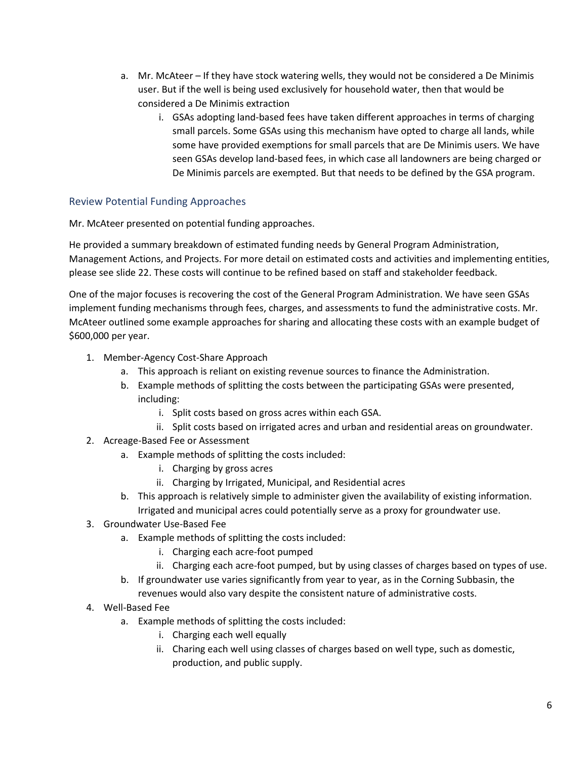- a. Mr. McAteer If they have stock watering wells, they would not be considered a De Minimis user. But if the well is being used exclusively for household water, then that would be considered a De Minimis extraction
	- i. GSAs adopting land-based fees have taken different approaches in terms of charging small parcels. Some GSAs using this mechanism have opted to charge all lands, while some have provided exemptions for small parcels that are De Minimis users. We have seen GSAs develop land-based fees, in which case all landowners are being charged or De Minimis parcels are exempted. But that needs to be defined by the GSA program.

## Review Potential Funding Approaches

Mr. McAteer presented on potential funding approaches.

He provided a summary breakdown of estimated funding needs by General Program Administration, Management Actions, and Projects. For more detail on estimated costs and activities and implementing entities, please see slide 22. These costs will continue to be refined based on staff and stakeholder feedback.

One of the major focuses is recovering the cost of the General Program Administration. We have seen GSAs implement funding mechanisms through fees, charges, and assessments to fund the administrative costs. Mr. McAteer outlined some example approaches for sharing and allocating these costs with an example budget of \$600,000 per year.

- 1. Member-Agency Cost-Share Approach
	- a. This approach is reliant on existing revenue sources to finance the Administration.
	- b. Example methods of splitting the costs between the participating GSAs were presented, including:
		- i. Split costs based on gross acres within each GSA.
		- ii. Split costs based on irrigated acres and urban and residential areas on groundwater.
- 2. Acreage-Based Fee or Assessment
	- a. Example methods of splitting the costs included:
		- i. Charging by gross acres
		- ii. Charging by Irrigated, Municipal, and Residential acres
	- b. This approach is relatively simple to administer given the availability of existing information. Irrigated and municipal acres could potentially serve as a proxy for groundwater use.
- 3. Groundwater Use-Based Fee
	- a. Example methods of splitting the costs included:
		- i. Charging each acre-foot pumped
		- ii. Charging each acre-foot pumped, but by using classes of charges based on types of use.
	- b. If groundwater use varies significantly from year to year, as in the Corning Subbasin, the revenues would also vary despite the consistent nature of administrative costs.
- 4. Well-Based Fee
	- a. Example methods of splitting the costs included:
		- i. Charging each well equally
		- ii. Charing each well using classes of charges based on well type, such as domestic, production, and public supply.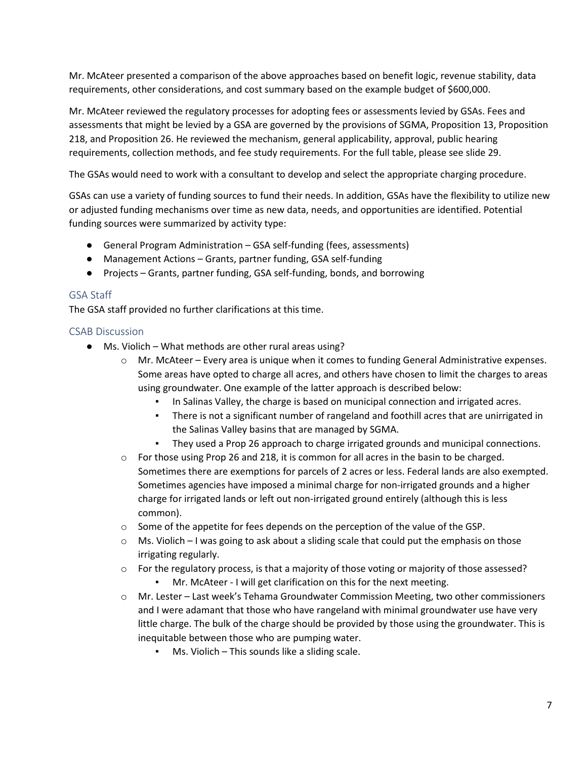Mr. McAteer presented a comparison of the above approaches based on benefit logic, revenue stability, data requirements, other considerations, and cost summary based on the example budget of \$600,000.

Mr. McAteer reviewed the regulatory processes for adopting fees or assessments levied by GSAs. Fees and assessments that might be levied by a GSA are governed by the provisions of SGMA, Proposition 13, Proposition 218, and Proposition 26. He reviewed the mechanism, general applicability, approval, public hearing requirements, collection methods, and fee study requirements. For the full table, please see slide 29.

The GSAs would need to work with a consultant to develop and select the appropriate charging procedure.

GSAs can use a variety of funding sources to fund their needs. In addition, GSAs have the flexibility to utilize new or adjusted funding mechanisms over time as new data, needs, and opportunities are identified. Potential funding sources were summarized by activity type:

- General Program Administration GSA self-funding (fees, assessments)
- Management Actions Grants, partner funding, GSA self-funding
- Projects Grants, partner funding, GSA self-funding, bonds, and borrowing

### GSA Staff

The GSA staff provided no further clarifications at this time.

#### CSAB Discussion

- Ms. Violich What methods are other rural areas using?
	- o Mr. McAteer Every area is unique when it comes to funding General Administrative expenses. Some areas have opted to charge all acres, and others have chosen to limit the charges to areas using groundwater. One example of the latter approach is described below:
		- In Salinas Valley, the charge is based on municipal connection and irrigated acres.
		- There is not a significant number of rangeland and foothill acres that are unirrigated in the Salinas Valley basins that are managed by SGMA.
		- They used a Prop 26 approach to charge irrigated grounds and municipal connections.
	- $\circ$  For those using Prop 26 and 218, it is common for all acres in the basin to be charged. Sometimes there are exemptions for parcels of 2 acres or less. Federal lands are also exempted. Sometimes agencies have imposed a minimal charge for non-irrigated grounds and a higher charge for irrigated lands or left out non-irrigated ground entirely (although this is less common).
	- $\circ$  Some of the appetite for fees depends on the perception of the value of the GSP.
	- $\circ$  Ms. Violich I was going to ask about a sliding scale that could put the emphasis on those irrigating regularly.
	- $\circ$  For the regulatory process, is that a majority of those voting or majority of those assessed? Mr. McAteer - I will get clarification on this for the next meeting.
	- o Mr. Lester Last week's Tehama Groundwater Commission Meeting, two other commissioners and I were adamant that those who have rangeland with minimal groundwater use have very little charge. The bulk of the charge should be provided by those using the groundwater. This is inequitable between those who are pumping water.
		- $Ms.$  Violich This sounds like a sliding scale.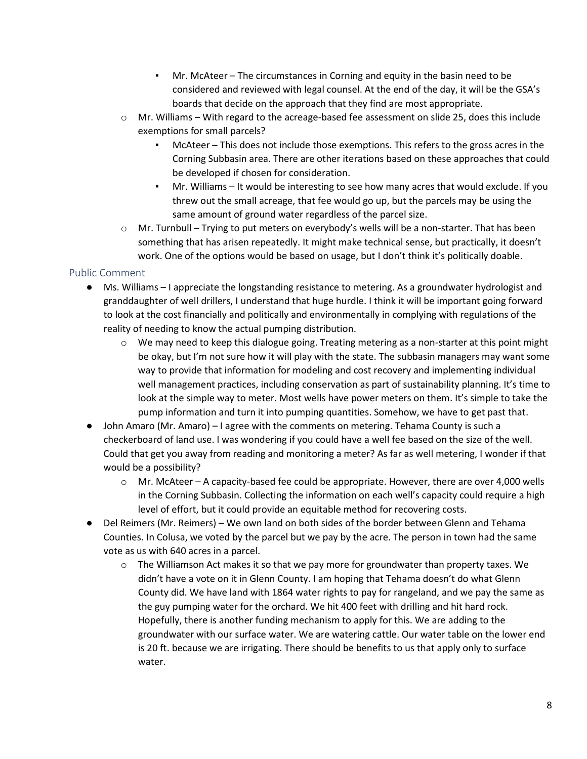- Mr. McAteer The circumstances in Corning and equity in the basin need to be considered and reviewed with legal counsel. At the end of the day, it will be the GSA's boards that decide on the approach that they find are most appropriate.
- $\circ$  Mr. Williams With regard to the acreage-based fee assessment on slide 25, does this include exemptions for small parcels?
	- $McAteer This does not include those experiments. This refers to the gross acres in the$ Corning Subbasin area. There are other iterations based on these approaches that could be developed if chosen for consideration.
	- Mr. Williams It would be interesting to see how many acres that would exclude. If you threw out the small acreage, that fee would go up, but the parcels may be using the same amount of ground water regardless of the parcel size.
- $\circ$  Mr. Turnbull Trying to put meters on everybody's wells will be a non-starter. That has been something that has arisen repeatedly. It might make technical sense, but practically, it doesn't work. One of the options would be based on usage, but I don't think it's politically doable.

## Public Comment

- Ms. Williams I appreciate the longstanding resistance to metering. As a groundwater hydrologist and granddaughter of well drillers, I understand that huge hurdle. I think it will be important going forward to look at the cost financially and politically and environmentally in complying with regulations of the reality of needing to know the actual pumping distribution.
	- $\circ$  We may need to keep this dialogue going. Treating metering as a non-starter at this point might be okay, but I'm not sure how it will play with the state. The subbasin managers may want some way to provide that information for modeling and cost recovery and implementing individual well management practices, including conservation as part of sustainability planning. It's time to look at the simple way to meter. Most wells have power meters on them. It's simple to take the pump information and turn it into pumping quantities. Somehow, we have to get past that.
- John Amaro (Mr. Amaro) I agree with the comments on metering. Tehama County is such a checkerboard of land use. I was wondering if you could have a well fee based on the size of the well. Could that get you away from reading and monitoring a meter? As far as well metering, I wonder if that would be a possibility?
	- $\circ$  Mr. McAteer A capacity-based fee could be appropriate. However, there are over 4,000 wells in the Corning Subbasin. Collecting the information on each well's capacity could require a high level of effort, but it could provide an equitable method for recovering costs.
- Del Reimers (Mr. Reimers) We own land on both sides of the border between Glenn and Tehama Counties. In Colusa, we voted by the parcel but we pay by the acre. The person in town had the same vote as us with 640 acres in a parcel.
	- $\circ$  The Williamson Act makes it so that we pay more for groundwater than property taxes. We didn't have a vote on it in Glenn County. I am hoping that Tehama doesn't do what Glenn County did. We have land with 1864 water rights to pay for rangeland, and we pay the same as the guy pumping water for the orchard. We hit 400 feet with drilling and hit hard rock. Hopefully, there is another funding mechanism to apply for this. We are adding to the groundwater with our surface water. We are watering cattle. Our water table on the lower end is 20 ft. because we are irrigating. There should be benefits to us that apply only to surface water.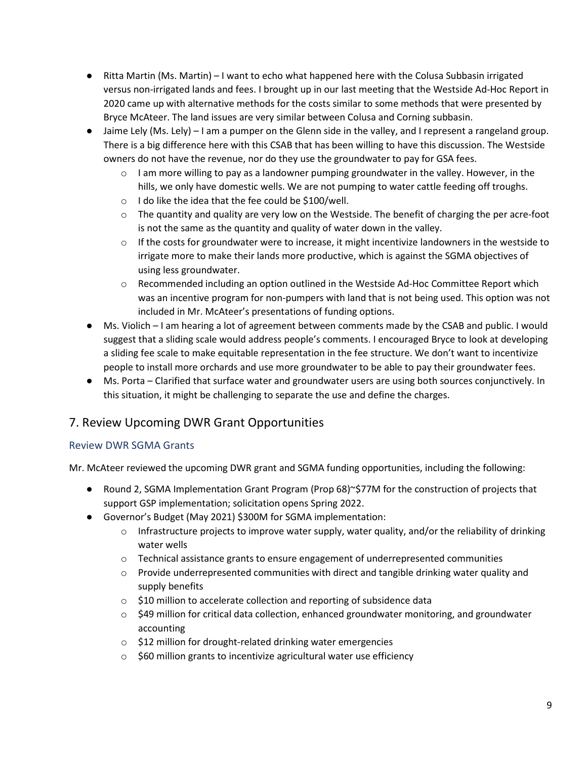- Ritta Martin (Ms. Martin) I want to echo what happened here with the Colusa Subbasin irrigated versus non-irrigated lands and fees. I brought up in our last meeting that the Westside Ad-Hoc Report in 2020 came up with alternative methods for the costs similar to some methods that were presented by Bryce McAteer. The land issues are very similar between Colusa and Corning subbasin.
- Jaime Lely (Ms. Lely) I am a pumper on the Glenn side in the valley, and I represent a rangeland group. There is a big difference here with this CSAB that has been willing to have this discussion. The Westside owners do not have the revenue, nor do they use the groundwater to pay for GSA fees.
	- $\circ$  I am more willing to pay as a landowner pumping groundwater in the valley. However, in the hills, we only have domestic wells. We are not pumping to water cattle feeding off troughs.
	- o I do like the idea that the fee could be \$100/well.
	- $\circ$  The quantity and quality are very low on the Westside. The benefit of charging the per acre-foot is not the same as the quantity and quality of water down in the valley.
	- $\circ$  If the costs for groundwater were to increase, it might incentivize landowners in the westside to irrigate more to make their lands more productive, which is against the SGMA objectives of using less groundwater.
	- o Recommended including an option outlined in the Westside Ad-Hoc Committee Report which was an incentive program for non-pumpers with land that is not being used. This option was not included in Mr. McAteer's presentations of funding options.
- Ms. Violich I am hearing a lot of agreement between comments made by the CSAB and public. I would suggest that a sliding scale would address people's comments. I encouraged Bryce to look at developing a sliding fee scale to make equitable representation in the fee structure. We don't want to incentivize people to install more orchards and use more groundwater to be able to pay their groundwater fees.
- Ms. Porta Clarified that surface water and groundwater users are using both sources conjunctively. In this situation, it might be challenging to separate the use and define the charges.

# 7. Review Upcoming DWR Grant Opportunities

## Review DWR SGMA Grants

Mr. McAteer reviewed the upcoming DWR grant and SGMA funding opportunities, including the following:

- Round 2, SGMA Implementation Grant Program (Prop 68)~\$77M for the construction of projects that support GSP implementation; solicitation opens Spring 2022.
- Governor's Budget (May 2021) \$300M for SGMA implementation:
	- $\circ$  Infrastructure projects to improve water supply, water quality, and/or the reliability of drinking water wells
	- $\circ$  Technical assistance grants to ensure engagement of underrepresented communities
	- $\circ$  Provide underrepresented communities with direct and tangible drinking water quality and supply benefits
	- o \$10 million to accelerate collection and reporting of subsidence data
	- $\circ$  \$49 million for critical data collection, enhanced groundwater monitoring, and groundwater accounting
	- o \$12 million for drought-related drinking water emergencies
	- o \$60 million grants to incentivize agricultural water use efficiency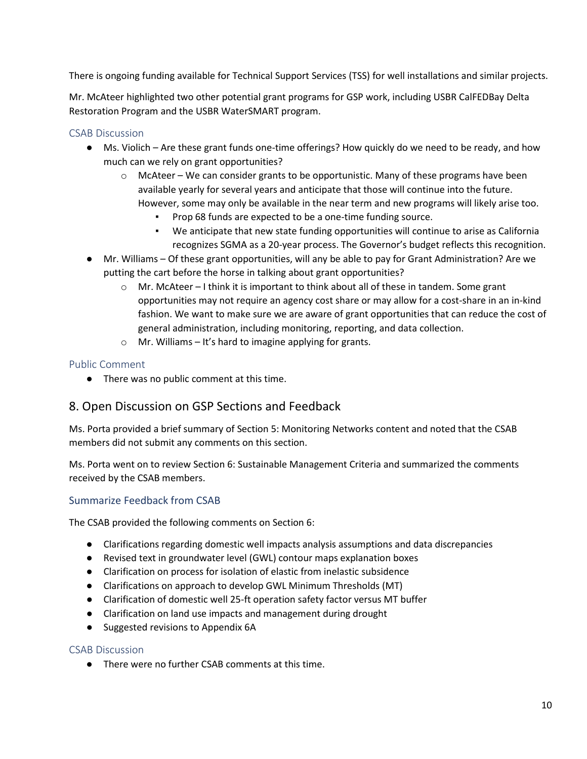There is ongoing funding available for Technical Support Services (TSS) for well installations and similar projects.

Mr. McAteer highlighted two other potential grant programs for GSP work, including USBR CalFEDBay Delta Restoration Program and the USBR WaterSMART program.

### CSAB Discussion

- Ms. Violich Are these grant funds one-time offerings? How quickly do we need to be ready, and how much can we rely on grant opportunities?
	- $\circ$  McAteer We can consider grants to be opportunistic. Many of these programs have been available yearly for several years and anticipate that those will continue into the future. However, some may only be available in the near term and new programs will likely arise too.
		- Prop 68 funds are expected to be a one-time funding source.
		- We anticipate that new state funding opportunities will continue to arise as California recognizes SGMA as a 20-year process. The Governor's budget reflects this recognition.
- Mr. Williams Of these grant opportunities, will any be able to pay for Grant Administration? Are we putting the cart before the horse in talking about grant opportunities?
	- o Mr. McAteer I think it is important to think about all of these in tandem. Some grant opportunities may not require an agency cost share or may allow for a cost-share in an in-kind fashion. We want to make sure we are aware of grant opportunities that can reduce the cost of general administration, including monitoring, reporting, and data collection.
	- $\circ$  Mr. Williams It's hard to imagine applying for grants.

### Public Comment

● There was no public comment at this time.

## 8. Open Discussion on GSP Sections and Feedback

Ms. Porta provided a brief summary of Section 5: Monitoring Networks content and noted that the CSAB members did not submit any comments on this section.

Ms. Porta went on to review Section 6: Sustainable Management Criteria and summarized the comments received by the CSAB members.

## Summarize Feedback from CSAB

The CSAB provided the following comments on Section 6:

- Clarifications regarding domestic well impacts analysis assumptions and data discrepancies
- Revised text in groundwater level (GWL) contour maps explanation boxes
- Clarification on process for isolation of elastic from inelastic subsidence
- Clarifications on approach to develop GWL Minimum Thresholds (MT)
- Clarification of domestic well 25-ft operation safety factor versus MT buffer
- Clarification on land use impacts and management during drought
- Suggested revisions to Appendix 6A

#### CSAB Discussion

● There were no further CSAB comments at this time.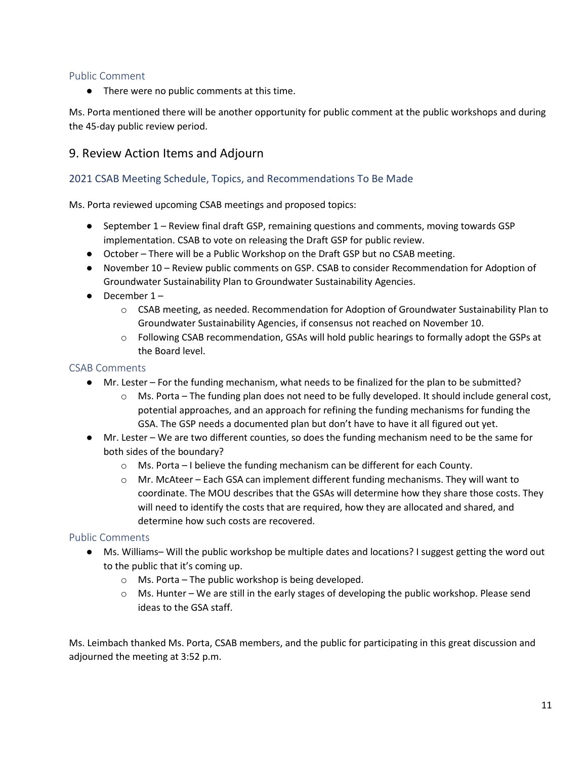## Public Comment

● There were no public comments at this time.

Ms. Porta mentioned there will be another opportunity for public comment at the public workshops and during the 45-day public review period.

# 9. Review Action Items and Adjourn

## 2021 CSAB Meeting Schedule, Topics, and Recommendations To Be Made

Ms. Porta reviewed upcoming CSAB meetings and proposed topics:

- September 1 Review final draft GSP, remaining questions and comments, moving towards GSP implementation. CSAB to vote on releasing the Draft GSP for public review.
- October There will be a Public Workshop on the Draft GSP but no CSAB meeting.
- November 10 Review public comments on GSP. CSAB to consider Recommendation for Adoption of Groundwater Sustainability Plan to Groundwater Sustainability Agencies.
- $\bullet$  December 1
	- o CSAB meeting, as needed. Recommendation for Adoption of Groundwater Sustainability Plan to Groundwater Sustainability Agencies, if consensus not reached on November 10.
	- o Following CSAB recommendation, GSAs will hold public hearings to formally adopt the GSPs at the Board level.

## CSAB Comments

- Mr. Lester For the funding mechanism, what needs to be finalized for the plan to be submitted?
	- $\circ$  Ms. Porta The funding plan does not need to be fully developed. It should include general cost, potential approaches, and an approach for refining the funding mechanisms for funding the GSA. The GSP needs a documented plan but don't have to have it all figured out yet.
- Mr. Lester We are two different counties, so does the funding mechanism need to be the same for both sides of the boundary?
	- $\circ$  Ms. Porta I believe the funding mechanism can be different for each County.
	- o Mr. McAteer Each GSA can implement different funding mechanisms. They will want to coordinate. The MOU describes that the GSAs will determine how they share those costs. They will need to identify the costs that are required, how they are allocated and shared, and determine how such costs are recovered.

## Public Comments

- Ms. Williams– Will the public workshop be multiple dates and locations? I suggest getting the word out to the public that it's coming up.
	- o Ms. Porta The public workshop is being developed.
	- $\circ$  Ms. Hunter We are still in the early stages of developing the public workshop. Please send ideas to the GSA staff.

Ms. Leimbach thanked Ms. Porta, CSAB members, and the public for participating in this great discussion and adjourned the meeting at 3:52 p.m.